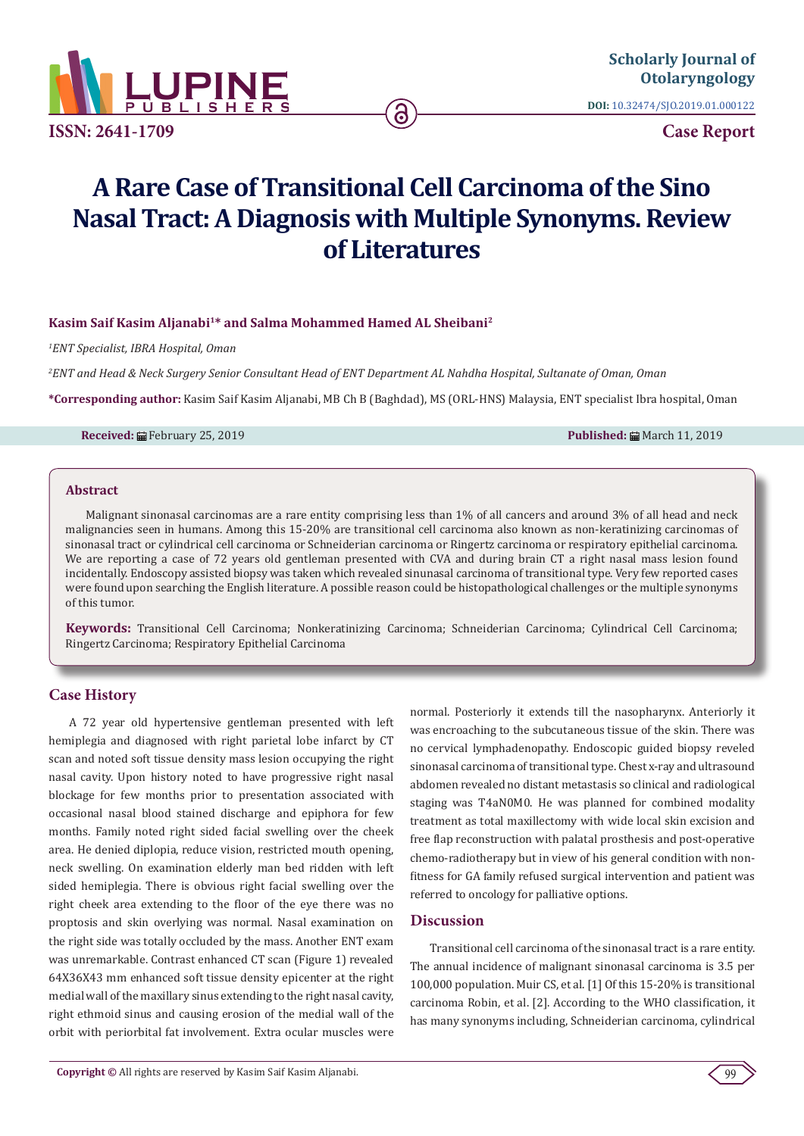

**DOI:** [10.32474/SJO.2019.01.000122](http://dx.doi.org/10.32474/SJO.2019.01.000122)

**Case Report**

# **A Rare Case of Transitional Cell Carcinoma of the Sino Nasal Tract: A Diagnosis with Multiple Synonyms. Review of Literatures**

ခ

## **Kasim Saif Kasim Aljanabi1\* and Salma Mohammed Hamed AL Sheibani2**

*1 ENT Specialist, IBRA Hospital, Oman*

*2 ENT and Head & Neck Surgery Senior Consultant Head of ENT Department AL Nahdha Hospital, Sultanate of Oman, Oman*

**\*Corresponding author:** Kasim Saif Kasim Aljanabi, MB Ch B (Baghdad), MS (ORL-HNS) Malaysia, ENT specialist Ibra hospital, Oman

**Received:** ■ February 25, 2019 **Published:** March 11, 2019 **Published:** ■ March 11, 2019

#### **Abstract**

Malignant sinonasal carcinomas are a rare entity comprising less than 1% of all cancers and around 3% of all head and neck malignancies seen in humans. Among this 15-20% are transitional cell carcinoma also known as non-keratinizing carcinomas of sinonasal tract or cylindrical cell carcinoma or Schneiderian carcinoma or Ringertz carcinoma or respiratory epithelial carcinoma. We are reporting a case of 72 years old gentleman presented with CVA and during brain CT a right nasal mass lesion found incidentally. Endoscopy assisted biopsy was taken which revealed sinunasal carcinoma of transitional type. Very few reported cases were found upon searching the English literature. A possible reason could be histopathological challenges or the multiple synonyms of this tumor.

**Keywords:** Transitional Cell Carcinoma; Nonkeratinizing Carcinoma; Schneiderian Carcinoma; Cylindrical Cell Carcinoma; Ringertz Carcinoma; Respiratory Epithelial Carcinoma

### **Case History**

A 72 year old hypertensive gentleman presented with left hemiplegia and diagnosed with right parietal lobe infarct by CT scan and noted soft tissue density mass lesion occupying the right nasal cavity. Upon history noted to have progressive right nasal blockage for few months prior to presentation associated with occasional nasal blood stained discharge and epiphora for few months. Family noted right sided facial swelling over the cheek area. He denied diplopia, reduce vision, restricted mouth opening, neck swelling. On examination elderly man bed ridden with left sided hemiplegia. There is obvious right facial swelling over the right cheek area extending to the floor of the eye there was no proptosis and skin overlying was normal. Nasal examination on the right side was totally occluded by the mass. Another ENT exam was unremarkable. Contrast enhanced CT scan (Figure 1) revealed 64X36X43 mm enhanced soft tissue density epicenter at the right medial wall of the maxillary sinus extending to the right nasal cavity, right ethmoid sinus and causing erosion of the medial wall of the orbit with periorbital fat involvement. Extra ocular muscles were

normal. Posteriorly it extends till the nasopharynx. Anteriorly it was encroaching to the subcutaneous tissue of the skin. There was no cervical lymphadenopathy. Endoscopic guided biopsy reveled sinonasal carcinoma of transitional type. Chest x-ray and ultrasound abdomen revealed no distant metastasis so clinical and radiological staging was T4aN0M0. He was planned for combined modality treatment as total maxillectomy with wide local skin excision and free flap reconstruction with palatal prosthesis and post-operative chemo-radiotherapy but in view of his general condition with nonfitness for GA family refused surgical intervention and patient was referred to oncology for palliative options.

# **Discussion**

Transitional cell carcinoma of the sinonasal tract is a rare entity. The annual incidence of malignant sinonasal carcinoma is 3.5 per 100,000 population. Muir CS, et al. [1] Of this 15-20% is transitional carcinoma Robin, et al. [2]. According to the WHO classification, it has many synonyms including, Schneiderian carcinoma, cylindrical

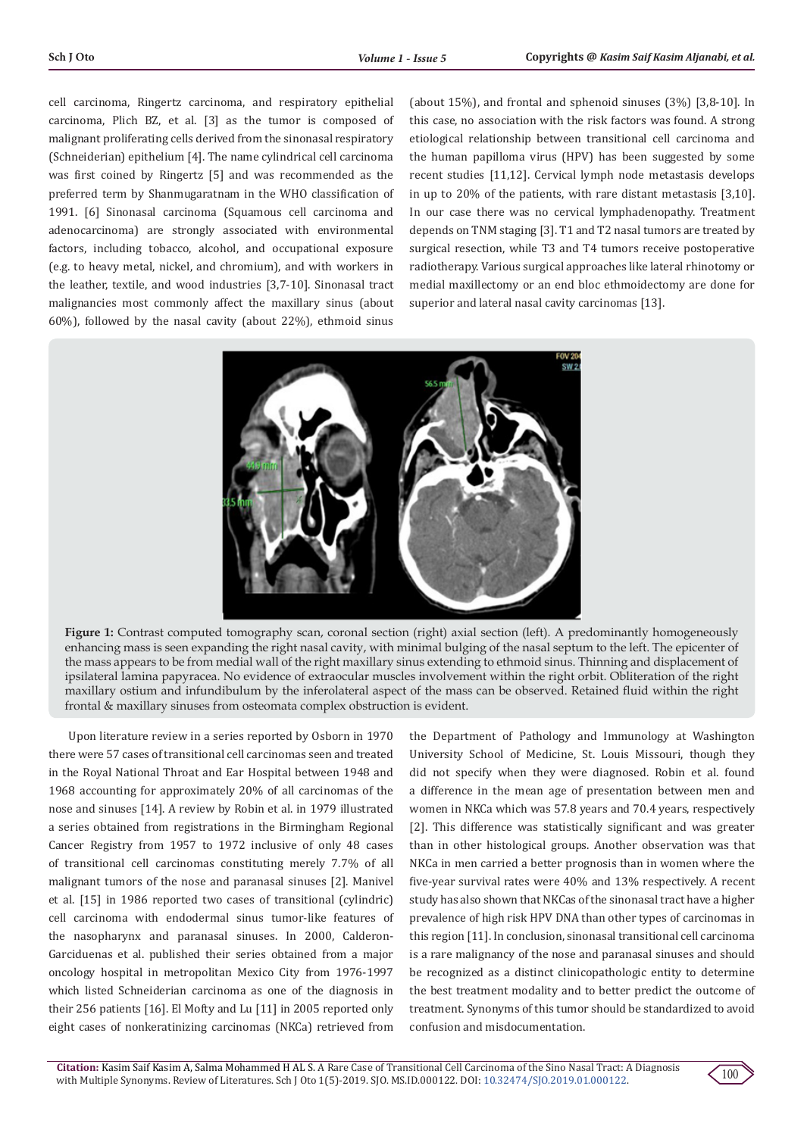cell carcinoma, Ringertz carcinoma, and respiratory epithelial carcinoma, Plich BZ, et al. [3] as the tumor is composed of malignant proliferating cells derived from the sinonasal respiratory (Schneiderian) epithelium [4]. The name cylindrical cell carcinoma was first coined by Ringertz [5] and was recommended as the preferred term by Shanmugaratnam in the WHO classification of 1991. [6] Sinonasal carcinoma (Squamous cell carcinoma and adenocarcinoma) are strongly associated with environmental factors, including tobacco, alcohol, and occupational exposure (e.g. to heavy metal, nickel, and chromium), and with workers in the leather, textile, and wood industries [3,7-10]. Sinonasal tract malignancies most commonly affect the maxillary sinus (about 60%), followed by the nasal cavity (about 22%), ethmoid sinus

(about 15%), and frontal and sphenoid sinuses (3%) [3,8-10]. In this case, no association with the risk factors was found. A strong etiological relationship between transitional cell carcinoma and the human papilloma virus (HPV) has been suggested by some recent studies [11,12]. Cervical lymph node metastasis develops in up to 20% of the patients, with rare distant metastasis [3,10]. In our case there was no cervical lymphadenopathy. Treatment depends on TNM staging [3]. T1 and T2 nasal tumors are treated by surgical resection, while T3 and T4 tumors receive postoperative radiotherapy. Various surgical approaches like lateral rhinotomy or medial maxillectomy or an end bloc ethmoidectomy are done for superior and lateral nasal cavity carcinomas [13].



Figure 1: Contrast computed tomography scan, coronal section (right) axial section (left). A predominantly homogeneously enhancing mass is seen expanding the right nasal cavity, with minimal bulging of the nasal septum to the left. The epicenter of the mass appears to be from medial wall of the right maxillary sinus extending to ethmoid sinus. Thinning and displacement of ipsilateral lamina papyracea. No evidence of extraocular muscles involvement within the right orbit. Obliteration of the right maxillary ostium and infundibulum by the inferolateral aspect of the mass can be observed. Retained fluid within the right frontal & maxillary sinuses from osteomata complex obstruction is evident.

Upon literature review in a series reported by Osborn in 1970 there were 57 cases of transitional cell carcinomas seen and treated in the Royal National Throat and Ear Hospital between 1948 and 1968 accounting for approximately 20% of all carcinomas of the nose and sinuses [14]. A review by Robin et al. in 1979 illustrated a series obtained from registrations in the Birmingham Regional Cancer Registry from 1957 to 1972 inclusive of only 48 cases of transitional cell carcinomas constituting merely 7.7% of all malignant tumors of the nose and paranasal sinuses [2]. Manivel et al. [15] in 1986 reported two cases of transitional (cylindric) cell carcinoma with endodermal sinus tumor-like features of the nasopharynx and paranasal sinuses. In 2000, Calderon-Garciduenas et al. published their series obtained from a major oncology hospital in metropolitan Mexico City from 1976-1997 which listed Schneiderian carcinoma as one of the diagnosis in their 256 patients [16]. El Mofty and Lu [11] in 2005 reported only eight cases of nonkeratinizing carcinomas (NKCa) retrieved from

the Department of Pathology and Immunology at Washington University School of Medicine, St. Louis Missouri, though they did not specify when they were diagnosed. Robin et al. found a difference in the mean age of presentation between men and women in NKCa which was 57.8 years and 70.4 years, respectively [2]. This difference was statistically significant and was greater than in other histological groups. Another observation was that NKCa in men carried a better prognosis than in women where the five-year survival rates were 40% and 13% respectively. A recent study has also shown that NKCas of the sinonasal tract have a higher prevalence of high risk HPV DNA than other types of carcinomas in this region [11]. In conclusion, sinonasal transitional cell carcinoma is a rare malignancy of the nose and paranasal sinuses and should be recognized as a distinct clinicopathologic entity to determine the best treatment modality and to better predict the outcome of treatment. Synonyms of this tumor should be standardized to avoid confusion and misdocumentation.